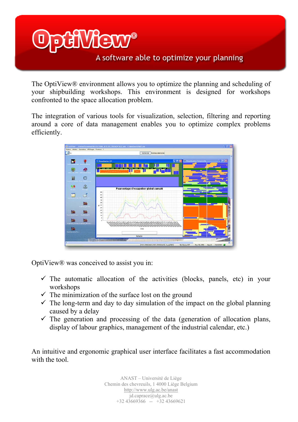# VMENW

## A software able to optimize your planning

The OptiView® environment allows you to optimize the planning and scheduling of your shipbuilding workshops. This environment is designed for workshops confronted to the space allocation problem.

The integration of various tools for visualization, selection, filtering and reporting around a core of data management enables you to optimize complex problems efficiently.



OptiView® was conceived to assist you in:

- $\checkmark$  The automatic allocation of the activities (blocks, panels, etc) in your workshops
- $\checkmark$  The minimization of the surface lost on the ground
- $\checkmark$  The long-term and day to day simulation of the impact on the global planning caused by a delay
- $\checkmark$  The generation and processing of the data (generation of allocation plans, display of labour graphics, management of the industrial calendar, etc.)

An intuitive and ergonomic graphical user interface facilitates a fast accommodation with the tool.

> ANAST – Université de Liège Chemin des chevreuils, 1 4000 Liège Belgium http://www.ulg.ac.be/anast jd.caprace@ulg.ac.be +32 43669366 -- +32 43669621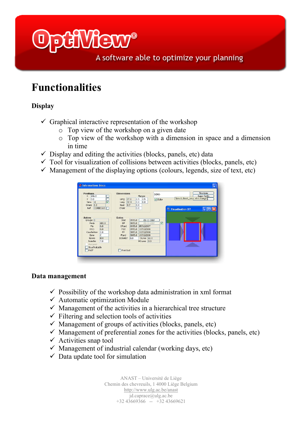

A software able to optimize your planning

# **Functionalities**

### **Display**

- $\checkmark$  Graphical interactive representation of the workshop
	- o Top view of the workshop on a given date
	- o Top view of the workshop with a dimension in space and a dimension in time
- $\checkmark$  Display and editing the activities (blocks, panels, etc) data
- $\checkmark$  Tool for visualization of collisions between activities (blocks, panels, etc)
- $\checkmark$  Management of the displaying options (colours, legends, size of text, etc)



#### **Data management**

- $\checkmark$  Possibility of the workshop data administration in xml format
- $\checkmark$  Automatic optimization Module
- $\checkmark$  Management of the activities in a hierarchical tree structure
- $\checkmark$  Filtering and selection tools of activities
- $\checkmark$  Management of groups of activities (blocks, panels, etc)
- $\checkmark$  Management of preferential zones for the activities (blocks, panels, etc)
- $\checkmark$  Activities snap tool
- $\checkmark$  Management of industrial calendar (working days, etc)
- $\checkmark$  Data update tool for simulation

ANAST – Université de Liège Chemin des chevreuils, 1 4000 Liège Belgium http://www.ulg.ac.be/anast jd.caprace@ulg.ac.be +32 43669366 -- +32 43669621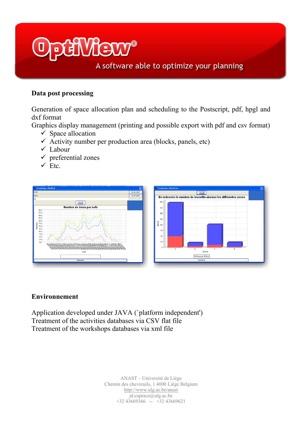# **FORMALE**

## A software able to optimize your planning

### **Data post processing**

Generation of space allocation plan and scheduling to the Postscript, pdf, hpgl and dxf format

Graphics display management (printing and possible export with pdf and csv format)

- $\checkmark$  Space allocation
- $\checkmark$  Activity number per production area (blocks, panels, etc)
- $\checkmark$  Labour
- $\checkmark$  preferential zones
- $\checkmark$  Etc.



#### **Environnement**

Application developed under JAVA (`platform independent') Treatment of the activities databases via CSV flat file Treatment of the workshops databases via xml file

> ANAST – Université de Liège Chemin des chevreuils, 1 4000 Liège Belgium http://www.ulg.ac.be/anast  $id$ .caprace $@$ ulg.ac.be  $+3243669366$  --  $+3243669621$